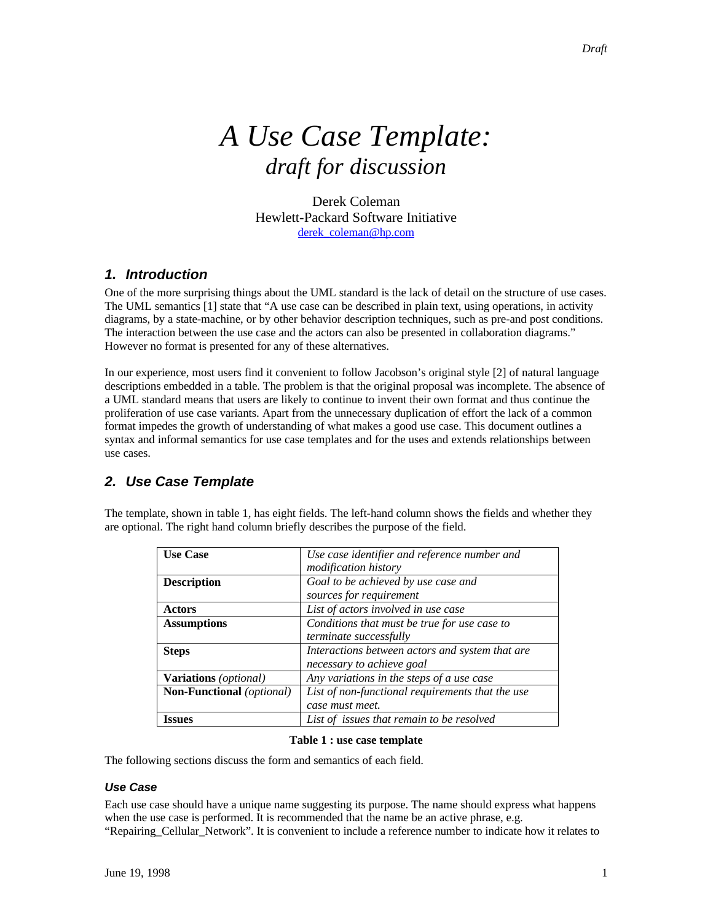# *A Use Case Template: draft for discussion*

Derek Coleman Hewlett-Packard Software Initiative derek\_coleman@hp.com

# *1. Introduction*

One of the more surprising things about the UML standard is the lack of detail on the structure of use cases. The UML semantics [1] state that "A use case can be described in plain text, using operations, in activity diagrams, by a state-machine, or by other behavior description techniques, such as pre-and post conditions. The interaction between the use case and the actors can also be presented in collaboration diagrams." However no format is presented for any of these alternatives.

In our experience, most users find it convenient to follow Jacobson's original style [2] of natural language descriptions embedded in a table. The problem is that the original proposal was incomplete. The absence of a UML standard means that users are likely to continue to invent their own format and thus continue the proliferation of use case variants. Apart from the unnecessary duplication of effort the lack of a common format impedes the growth of understanding of what makes a good use case. This document outlines a syntax and informal semantics for use case templates and for the uses and extends relationships between use cases.

# *2. Use Case Template*

|                    | optional. The right hand column briefly describes the purpose of the field. |
|--------------------|-----------------------------------------------------------------------------|
| <b>Use Case</b>    | Use case identifier and reference number and<br><i>modification history</i> |
| <b>Description</b> | Goal to be achieved by use case and<br>sources for requirement              |

The template, shown in table 1, has eight fields. The left-hand column shows the fields and whether they are optional. The right hand column briefly describes the purpose of the field.

|                                       | modification history                             |
|---------------------------------------|--------------------------------------------------|
| <b>Description</b>                    | Goal to be achieved by use case and              |
|                                       | sources for requirement                          |
| Actors                                | List of actors involved in use case              |
| <b>Assumptions</b>                    | Conditions that must be true for use case to     |
|                                       | terminate successfully                           |
| <b>Steps</b>                          | Interactions between actors and system that are  |
|                                       | necessary to achieve goal                        |
| <b>Variations</b> ( <i>optional</i> ) | Any variations in the steps of a use case        |
| <b>Non-Functional</b> (optional)      | List of non-functional requirements that the use |
|                                       | case must meet.                                  |
| Issues                                | List of issues that remain to be resolved        |

### **Table 1 : use case template**

The following sections discuss the form and semantics of each field.

## *Use Case*

Each use case should have a unique name suggesting its purpose. The name should express what happens when the use case is performed. It is recommended that the name be an active phrase, e.g. "Repairing\_Cellular\_Network". It is convenient to include a reference number to indicate how it relates to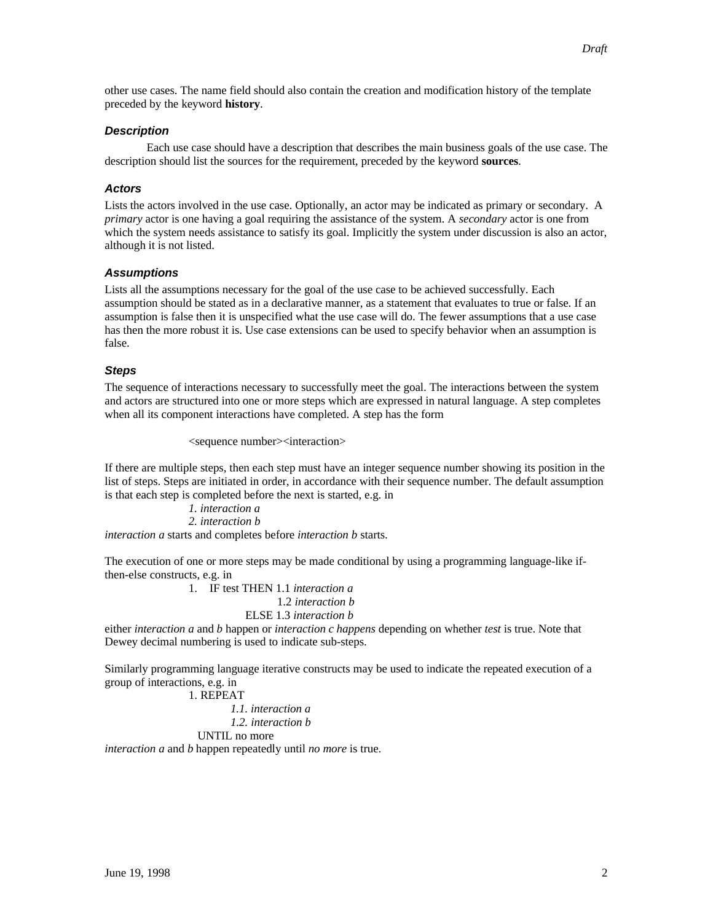other use cases. The name field should also contain the creation and modification history of the template preceded by the keyword **history**.

## *Description*

Each use case should have a description that describes the main business goals of the use case. The description should list the sources for the requirement, preceded by the keyword **sources**.

## *Actors*

Lists the actors involved in the use case. Optionally, an actor may be indicated as primary or secondary. A *primary* actor is one having a goal requiring the assistance of the system. A *secondary* actor is one from which the system needs assistance to satisfy its goal. Implicitly the system under discussion is also an actor, although it is not listed.

## *Assumptions*

Lists all the assumptions necessary for the goal of the use case to be achieved successfully. Each assumption should be stated as in a declarative manner, as a statement that evaluates to true or false. If an assumption is false then it is unspecified what the use case will do. The fewer assumptions that a use case has then the more robust it is. Use case extensions can be used to specify behavior when an assumption is false.

## *Steps*

The sequence of interactions necessary to successfully meet the goal. The interactions between the system and actors are structured into one or more steps which are expressed in natural language. A step completes when all its component interactions have completed. A step has the form

<sequence number><interaction>

If there are multiple steps, then each step must have an integer sequence number showing its position in the list of steps. Steps are initiated in order, in accordance with their sequence number. The default assumption is that each step is completed before the next is started, e.g. in

*1. interaction a 2. interaction b interaction a* starts and completes before *interaction b* starts.

The execution of one or more steps may be made conditional by using a programming language-like ifthen-else constructs, e.g. in

> 1. IF test THEN 1.1 *interaction a* 1.2 *interaction b*

ELSE 1.3 *interaction b*

either *interaction a* and *b* happen or *interaction c happens* depending on whether *test* is true. Note that Dewey decimal numbering is used to indicate sub-steps.

Similarly programming language iterative constructs may be used to indicate the repeated execution of a group of interactions, e.g. in

1. REPEAT

*1.1. interaction a 1.2. interaction b*

UNTIL no more

*interaction a* and *b* happen repeatedly until *no more* is true.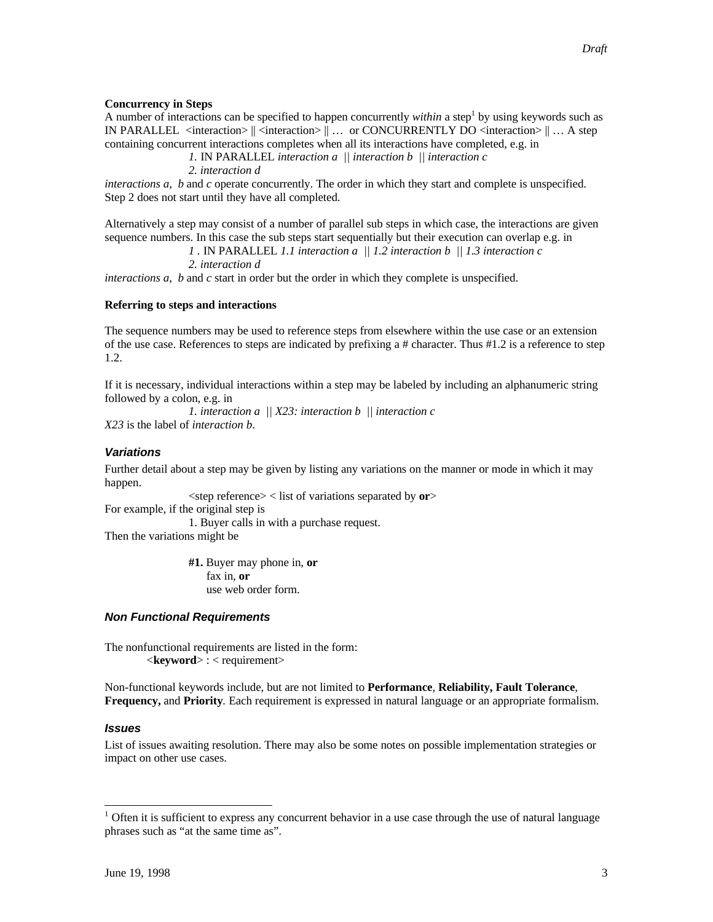### **Concurrency in Steps**

A number of interactions can be specified to happen concurrently *within* a step<sup>1</sup> by using keywords such as IN PARALLEL <interaction>  $\|$  <interaction>  $\|$  ... or CONCURRENTLY DO <interaction>  $\|$  ... A step containing concurrent interactions completes when all its interactions have completed, e.g. in

*1.* IN PARALLEL *interaction a || interaction b || interaction c*

*2. interaction d*

*interactions a, b* and *c* operate concurrently. The order in which they start and complete is unspecified. Step 2 does not start until they have all completed.

Alternatively a step may consist of a number of parallel sub steps in which case, the interactions are given sequence numbers. In this case the sub steps start sequentially but their execution can overlap e.g. in

*1 .* IN PARALLEL *1.1 interaction a || 1.2 interaction b || 1.3 interaction c*

*2. interaction d*

*interactions a*, *b* and *c* start in order but the order in which they complete is unspecified.

### **Referring to steps and interactions**

The sequence numbers may be used to reference steps from elsewhere within the use case or an extension of the use case. References to steps are indicated by prefixing a # character. Thus #1.2 is a reference to step 1.2.

If it is necessary, individual interactions within a step may be labeled by including an alphanumeric string followed by a colon, e.g. in

*1. interaction a || X23: interaction b || interaction c*

*X23* is the label of *interaction b*.

### *Variations*

Further detail about a step may be given by listing any variations on the manner or mode in which it may happen.

<step reference> < list of variations separated by **or**>

For example, if the original step is

1. Buyer calls in with a purchase request.

Then the variations might be

**#1.** Buyer may phone in, **or** fax in, **or** use web order form.

### *Non Functional Requirements*

The nonfunctional requirements are listed in the form:  $\leq$ **keyword**> : < requirement>

Non-functional keywords include, but are not limited to **Performance***,* **Reliability, Fault Tolerance***,* **Frequency,** and **Priority***.* Each requirement is expressed in natural language or an appropriate formalism.

### *Issues*

-

List of issues awaiting resolution. There may also be some notes on possible implementation strategies or impact on other use cases.

 $1$  Often it is sufficient to express any concurrent behavior in a use case through the use of natural language phrases such as "at the same time as".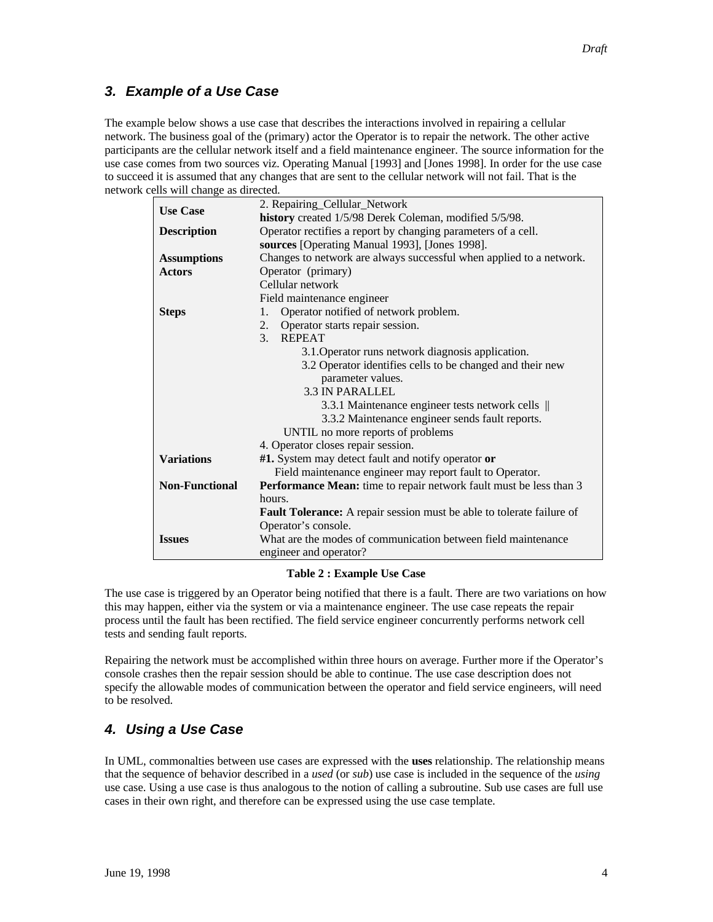# *3. Example of a Use Case*

The example below shows a use case that describes the interactions involved in repairing a cellular network. The business goal of the (primary) actor the Operator is to repair the network. The other active participants are the cellular network itself and a field maintenance engineer. The source information for the use case comes from two sources viz. Operating Manual [1993] and [Jones 1998]. In order for the use case to succeed it is assumed that any changes that are sent to the cellular network will not fail. That is the network cells will change as directed.

| 2. Repairing_Cellular_Network<br><b>Use Case</b><br>history created 1/5/98 Derek Coleman, modified 5/5/98.<br>Operator rectifies a report by changing parameters of a cell.<br><b>Description</b><br>sources [Operating Manual 1993], [Jones 1998].<br>Changes to network are always successful when applied to a network.<br><b>Assumptions</b><br><b>Actors</b><br>Operator (primary)<br>Cellular network<br>Field maintenance engineer<br>Operator notified of network problem.<br>1.<br><b>Steps</b><br>Operator starts repair session.<br>2.<br><b>REPEAT</b><br>3 <sub>1</sub><br>3.1. Operator runs network diagnosis application.<br>3.2 Operator identifies cells to be changed and their new<br>parameter values.<br><b>3.3 IN PARALLEL</b><br>3.3.1 Maintenance engineer tests network cells   <br>3.3.2 Maintenance engineer sends fault reports.<br>UNTIL no more reports of problems<br>4. Operator closes repair session.<br><b>Variations</b><br>#1. System may detect fault and notify operator or<br>Field maintenance engineer may report fault to Operator.<br>Performance Mean: time to repair network fault must be less than 3<br><b>Non-Functional</b><br>hours.<br>Fault Tolerance: A repair session must be able to tolerate failure of<br>Operator's console.<br>What are the modes of communication between field maintenance<br><b>Issues</b><br>engineer and operator? |  |  |  |
|------------------------------------------------------------------------------------------------------------------------------------------------------------------------------------------------------------------------------------------------------------------------------------------------------------------------------------------------------------------------------------------------------------------------------------------------------------------------------------------------------------------------------------------------------------------------------------------------------------------------------------------------------------------------------------------------------------------------------------------------------------------------------------------------------------------------------------------------------------------------------------------------------------------------------------------------------------------------------------------------------------------------------------------------------------------------------------------------------------------------------------------------------------------------------------------------------------------------------------------------------------------------------------------------------------------------------------------------------------------------------------------------------|--|--|--|
|                                                                                                                                                                                                                                                                                                                                                                                                                                                                                                                                                                                                                                                                                                                                                                                                                                                                                                                                                                                                                                                                                                                                                                                                                                                                                                                                                                                                      |  |  |  |
|                                                                                                                                                                                                                                                                                                                                                                                                                                                                                                                                                                                                                                                                                                                                                                                                                                                                                                                                                                                                                                                                                                                                                                                                                                                                                                                                                                                                      |  |  |  |
|                                                                                                                                                                                                                                                                                                                                                                                                                                                                                                                                                                                                                                                                                                                                                                                                                                                                                                                                                                                                                                                                                                                                                                                                                                                                                                                                                                                                      |  |  |  |
|                                                                                                                                                                                                                                                                                                                                                                                                                                                                                                                                                                                                                                                                                                                                                                                                                                                                                                                                                                                                                                                                                                                                                                                                                                                                                                                                                                                                      |  |  |  |
|                                                                                                                                                                                                                                                                                                                                                                                                                                                                                                                                                                                                                                                                                                                                                                                                                                                                                                                                                                                                                                                                                                                                                                                                                                                                                                                                                                                                      |  |  |  |
|                                                                                                                                                                                                                                                                                                                                                                                                                                                                                                                                                                                                                                                                                                                                                                                                                                                                                                                                                                                                                                                                                                                                                                                                                                                                                                                                                                                                      |  |  |  |
|                                                                                                                                                                                                                                                                                                                                                                                                                                                                                                                                                                                                                                                                                                                                                                                                                                                                                                                                                                                                                                                                                                                                                                                                                                                                                                                                                                                                      |  |  |  |
|                                                                                                                                                                                                                                                                                                                                                                                                                                                                                                                                                                                                                                                                                                                                                                                                                                                                                                                                                                                                                                                                                                                                                                                                                                                                                                                                                                                                      |  |  |  |
|                                                                                                                                                                                                                                                                                                                                                                                                                                                                                                                                                                                                                                                                                                                                                                                                                                                                                                                                                                                                                                                                                                                                                                                                                                                                                                                                                                                                      |  |  |  |
|                                                                                                                                                                                                                                                                                                                                                                                                                                                                                                                                                                                                                                                                                                                                                                                                                                                                                                                                                                                                                                                                                                                                                                                                                                                                                                                                                                                                      |  |  |  |
|                                                                                                                                                                                                                                                                                                                                                                                                                                                                                                                                                                                                                                                                                                                                                                                                                                                                                                                                                                                                                                                                                                                                                                                                                                                                                                                                                                                                      |  |  |  |
|                                                                                                                                                                                                                                                                                                                                                                                                                                                                                                                                                                                                                                                                                                                                                                                                                                                                                                                                                                                                                                                                                                                                                                                                                                                                                                                                                                                                      |  |  |  |
|                                                                                                                                                                                                                                                                                                                                                                                                                                                                                                                                                                                                                                                                                                                                                                                                                                                                                                                                                                                                                                                                                                                                                                                                                                                                                                                                                                                                      |  |  |  |
|                                                                                                                                                                                                                                                                                                                                                                                                                                                                                                                                                                                                                                                                                                                                                                                                                                                                                                                                                                                                                                                                                                                                                                                                                                                                                                                                                                                                      |  |  |  |
|                                                                                                                                                                                                                                                                                                                                                                                                                                                                                                                                                                                                                                                                                                                                                                                                                                                                                                                                                                                                                                                                                                                                                                                                                                                                                                                                                                                                      |  |  |  |
|                                                                                                                                                                                                                                                                                                                                                                                                                                                                                                                                                                                                                                                                                                                                                                                                                                                                                                                                                                                                                                                                                                                                                                                                                                                                                                                                                                                                      |  |  |  |
|                                                                                                                                                                                                                                                                                                                                                                                                                                                                                                                                                                                                                                                                                                                                                                                                                                                                                                                                                                                                                                                                                                                                                                                                                                                                                                                                                                                                      |  |  |  |
|                                                                                                                                                                                                                                                                                                                                                                                                                                                                                                                                                                                                                                                                                                                                                                                                                                                                                                                                                                                                                                                                                                                                                                                                                                                                                                                                                                                                      |  |  |  |
|                                                                                                                                                                                                                                                                                                                                                                                                                                                                                                                                                                                                                                                                                                                                                                                                                                                                                                                                                                                                                                                                                                                                                                                                                                                                                                                                                                                                      |  |  |  |
|                                                                                                                                                                                                                                                                                                                                                                                                                                                                                                                                                                                                                                                                                                                                                                                                                                                                                                                                                                                                                                                                                                                                                                                                                                                                                                                                                                                                      |  |  |  |
|                                                                                                                                                                                                                                                                                                                                                                                                                                                                                                                                                                                                                                                                                                                                                                                                                                                                                                                                                                                                                                                                                                                                                                                                                                                                                                                                                                                                      |  |  |  |
|                                                                                                                                                                                                                                                                                                                                                                                                                                                                                                                                                                                                                                                                                                                                                                                                                                                                                                                                                                                                                                                                                                                                                                                                                                                                                                                                                                                                      |  |  |  |
|                                                                                                                                                                                                                                                                                                                                                                                                                                                                                                                                                                                                                                                                                                                                                                                                                                                                                                                                                                                                                                                                                                                                                                                                                                                                                                                                                                                                      |  |  |  |
|                                                                                                                                                                                                                                                                                                                                                                                                                                                                                                                                                                                                                                                                                                                                                                                                                                                                                                                                                                                                                                                                                                                                                                                                                                                                                                                                                                                                      |  |  |  |
|                                                                                                                                                                                                                                                                                                                                                                                                                                                                                                                                                                                                                                                                                                                                                                                                                                                                                                                                                                                                                                                                                                                                                                                                                                                                                                                                                                                                      |  |  |  |
|                                                                                                                                                                                                                                                                                                                                                                                                                                                                                                                                                                                                                                                                                                                                                                                                                                                                                                                                                                                                                                                                                                                                                                                                                                                                                                                                                                                                      |  |  |  |
|                                                                                                                                                                                                                                                                                                                                                                                                                                                                                                                                                                                                                                                                                                                                                                                                                                                                                                                                                                                                                                                                                                                                                                                                                                                                                                                                                                                                      |  |  |  |

### **Table 2 : Example Use Case**

The use case is triggered by an Operator being notified that there is a fault. There are two variations on how this may happen, either via the system or via a maintenance engineer. The use case repeats the repair process until the fault has been rectified. The field service engineer concurrently performs network cell tests and sending fault reports.

Repairing the network must be accomplished within three hours on average. Further more if the Operator's console crashes then the repair session should be able to continue. The use case description does not specify the allowable modes of communication between the operator and field service engineers, will need to be resolved.

# *4. Using a Use Case*

In UML, commonalties between use cases are expressed with the **uses** relationship. The relationship means that the sequence of behavior described in a *used* (or *sub*) use case is included in the sequence of the *using* use case. Using a use case is thus analogous to the notion of calling a subroutine. Sub use cases are full use cases in their own right, and therefore can be expressed using the use case template.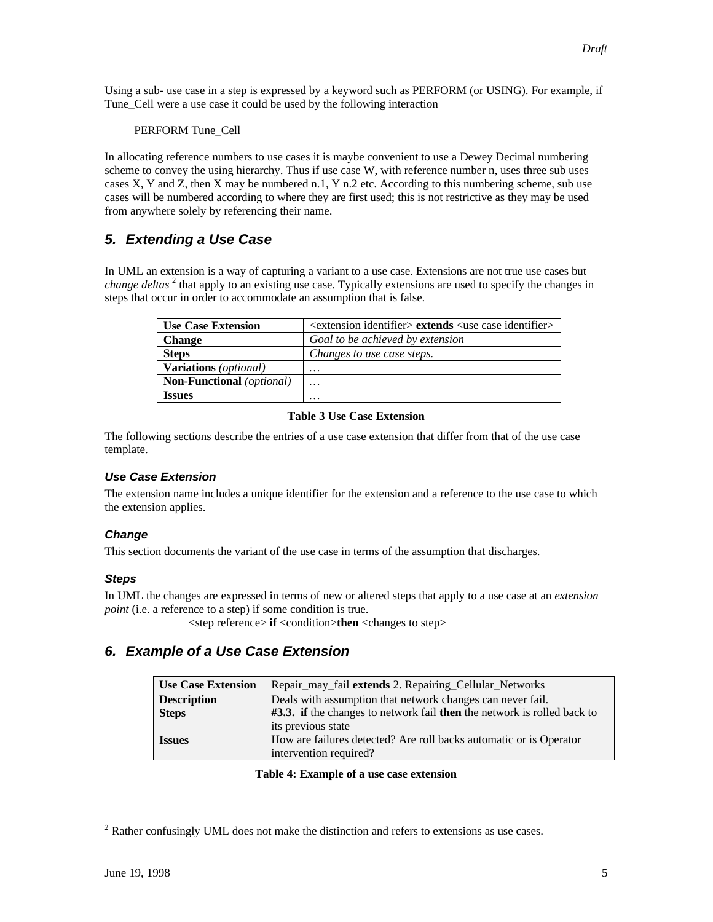Using a sub- use case in a step is expressed by a keyword such as PERFORM (or USING). For example, if Tune Cell were a use case it could be used by the following interaction

PERFORM Tune\_Cell

In allocating reference numbers to use cases it is maybe convenient to use a Dewey Decimal numbering scheme to convey the using hierarchy. Thus if use case W, with reference number n, uses three sub uses cases X, Y and Z, then X may be numbered n.1, Y n.2 etc. According to this numbering scheme, sub use cases will be numbered according to where they are first used; this is not restrictive as they may be used from anywhere solely by referencing their name.

# *5. Extending a Use Case*

In UML an extension is a way of capturing a variant to a use case. Extensions are not true use cases but *change deltas*<sup>2</sup> that apply to an existing use case. Typically extensions are used to specify the changes in steps that occur in order to accommodate an assumption that is false.

| <b>Use Case Extension</b>                 | $\alpha$ <extension identifier=""> extends <use case="" identifier=""></use></extension> |
|-------------------------------------------|------------------------------------------------------------------------------------------|
| <b>Change</b>                             | Goal to be achieved by extension                                                         |
| <b>Steps</b>                              | Changes to use case steps.                                                               |
| <b>Variations</b> ( <i>optional</i> )     | .                                                                                        |
| <b>Non-Functional</b> ( <i>optional</i> ) | .                                                                                        |
| <b>Issues</b>                             | .                                                                                        |

## **Table 3 Use Case Extension**

The following sections describe the entries of a use case extension that differ from that of the use case template.

## *Use Case Extension*

The extension name includes a unique identifier for the extension and a reference to the use case to which the extension applies.

### *Change*

This section documents the variant of the use case in terms of the assumption that discharges.

### *Steps*

In UML the changes are expressed in terms of new or altered steps that apply to a use case at an *extension point* (i.e. a reference to a step) if some condition is true.

<step reference> **if** <condition>**then** <changes to step>

## *6. Example of a Use Case Extension*

| <b>Use Case Extension</b> | Repair_may_fail extends 2. Repairing_Cellular_Networks                  |
|---------------------------|-------------------------------------------------------------------------|
| <b>Description</b>        | Deals with assumption that network changes can never fail.              |
| <b>Steps</b>              | #3.3. if the changes to network fail then the network is rolled back to |
|                           | its previous state                                                      |
| <b>Issues</b>             | How are failures detected? Are roll backs automatic or is Operator      |
|                           | intervention required?                                                  |

**Table 4: Example of a use case extension**

<sup>-</sup> $2^2$  Rather confusingly UML does not make the distinction and refers to extensions as use cases.